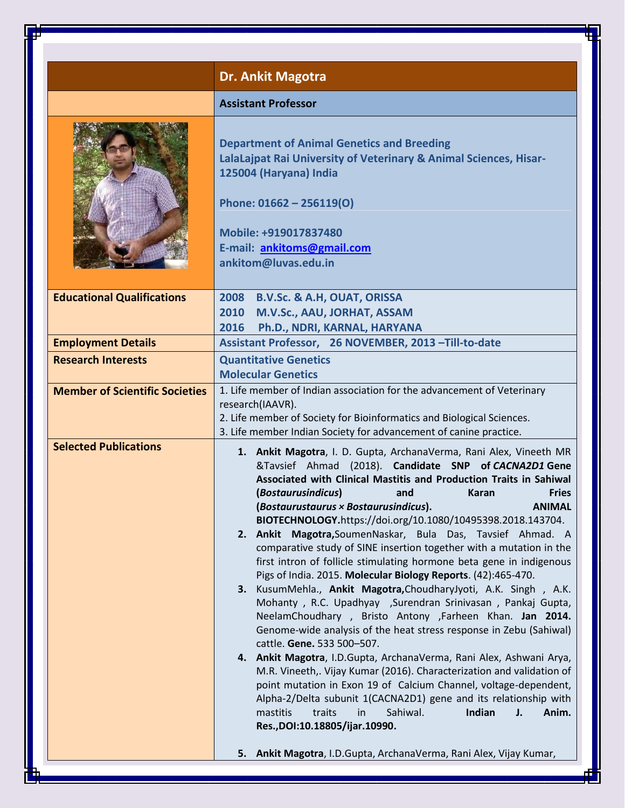|                                       | <b>Dr. Ankit Magotra</b>                                                                                                                                                                                                                                                                                                                                                                                                                                                                                                                                                                                                                                                                                                                                                                                                                                                                                                                                                                                                                                                                                                                                                                                                                                                                                                                                                                                                          |
|---------------------------------------|-----------------------------------------------------------------------------------------------------------------------------------------------------------------------------------------------------------------------------------------------------------------------------------------------------------------------------------------------------------------------------------------------------------------------------------------------------------------------------------------------------------------------------------------------------------------------------------------------------------------------------------------------------------------------------------------------------------------------------------------------------------------------------------------------------------------------------------------------------------------------------------------------------------------------------------------------------------------------------------------------------------------------------------------------------------------------------------------------------------------------------------------------------------------------------------------------------------------------------------------------------------------------------------------------------------------------------------------------------------------------------------------------------------------------------------|
|                                       | <b>Assistant Professor</b>                                                                                                                                                                                                                                                                                                                                                                                                                                                                                                                                                                                                                                                                                                                                                                                                                                                                                                                                                                                                                                                                                                                                                                                                                                                                                                                                                                                                        |
|                                       | <b>Department of Animal Genetics and Breeding</b><br>LalaLajpat Rai University of Veterinary & Animal Sciences, Hisar-<br>125004 (Haryana) India<br>Phone: 01662 - 256119(O)<br>Mobile: +919017837480<br>E-mail: ankitoms@gmail.com<br>ankitom@luvas.edu.in                                                                                                                                                                                                                                                                                                                                                                                                                                                                                                                                                                                                                                                                                                                                                                                                                                                                                                                                                                                                                                                                                                                                                                       |
| <b>Educational Qualifications</b>     | 2008 B.V.Sc. & A.H, OUAT, ORISSA<br>2010 M.V.Sc., AAU, JORHAT, ASSAM<br>2016<br>Ph.D., NDRI, KARNAL, HARYANA                                                                                                                                                                                                                                                                                                                                                                                                                                                                                                                                                                                                                                                                                                                                                                                                                                                                                                                                                                                                                                                                                                                                                                                                                                                                                                                      |
| <b>Employment Details</b>             | Assistant Professor, 26 NOVEMBER, 2013 - Till-to-date                                                                                                                                                                                                                                                                                                                                                                                                                                                                                                                                                                                                                                                                                                                                                                                                                                                                                                                                                                                                                                                                                                                                                                                                                                                                                                                                                                             |
| <b>Research Interests</b>             | <b>Quantitative Genetics</b><br><b>Molecular Genetics</b>                                                                                                                                                                                                                                                                                                                                                                                                                                                                                                                                                                                                                                                                                                                                                                                                                                                                                                                                                                                                                                                                                                                                                                                                                                                                                                                                                                         |
| <b>Member of Scientific Societies</b> | 1. Life member of Indian association for the advancement of Veterinary<br>research(IAAVR).<br>2. Life member of Society for Bioinformatics and Biological Sciences.<br>3. Life member Indian Society for advancement of canine practice.                                                                                                                                                                                                                                                                                                                                                                                                                                                                                                                                                                                                                                                                                                                                                                                                                                                                                                                                                                                                                                                                                                                                                                                          |
| <b>Selected Publications</b>          | 1. Ankit Magotra, I. D. Gupta, ArchanaVerma, Rani Alex, Vineeth MR<br>&Tavsief Ahmad (2018). Candidate SNP of CACNA2D1 Gene<br>Associated with Clinical Mastitis and Production Traits in Sahiwal<br>(Bostaurusindicus)<br><b>Fries</b><br>Karan<br>and<br>(Bostaurustaurus × Bostaurusindicus).<br><b>ANIMAL</b><br>BIOTECHNOLOGY.https://doi.org/10.1080/10495398.2018.143704.<br>2. Ankit Magotra, Soumen Naskar, Bula Das, Tavsief Ahmad. A<br>comparative study of SINE insertion together with a mutation in the<br>first intron of follicle stimulating hormone beta gene in indigenous<br>Pigs of India. 2015. Molecular Biology Reports. (42):465-470.<br>3. KusumMehla., Ankit Magotra, ChoudharyJyoti, A.K. Singh, A.K.<br>Mohanty, R.C. Upadhyay ,Surendran Srinivasan, Pankaj Gupta,<br>NeelamChoudhary, Bristo Antony ,Farheen Khan. Jan 2014.<br>Genome-wide analysis of the heat stress response in Zebu (Sahiwal)<br>cattle. Gene. 533 500-507.<br>4. Ankit Magotra, I.D.Gupta, ArchanaVerma, Rani Alex, Ashwani Arya,<br>M.R. Vineeth,. Vijay Kumar (2016). Characterization and validation of<br>point mutation in Exon 19 of Calcium Channel, voltage-dependent,<br>Alpha-2/Delta subunit 1(CACNA2D1) gene and its relationship with<br>Sahiwal.<br>Indian<br>mastitis<br>traits<br>in<br>J.<br>Anim.<br>Res., DOI:10.18805/ijar.10990.<br>5. Ankit Magotra, I.D.Gupta, ArchanaVerma, Rani Alex, Vijay Kumar, |